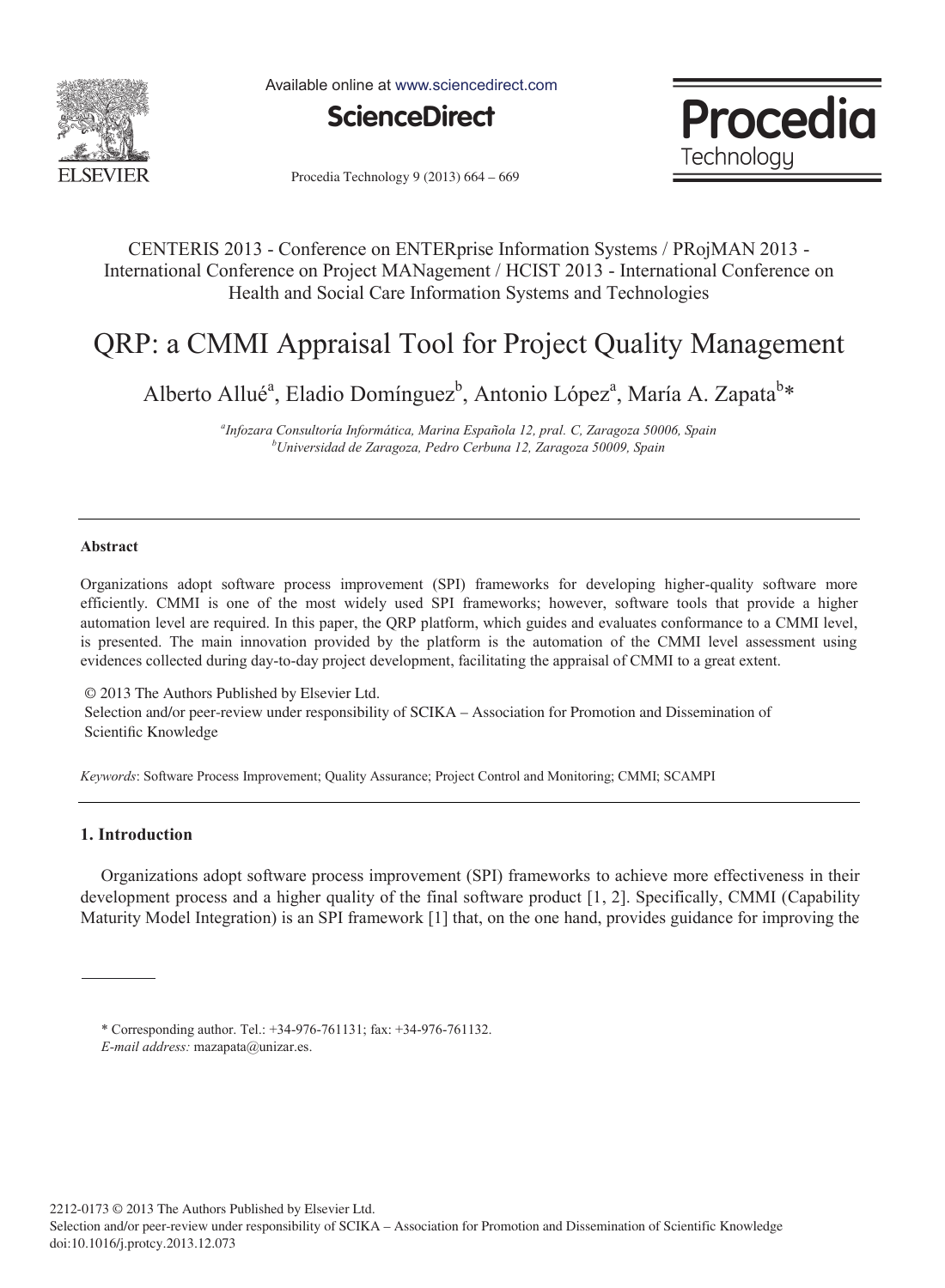

Available online at www.sciencedirect.com





Procedia Technology 9 (2013) 664 - 669

## CENTERIS 2013 - Conference on ENTERprise Information Systems / PRojMAN 2013 - International Conference on Project MANagement / HCIST 2013 - International Conference on Health and Social Care Information Systems and Technologies

# QRP: a CMMI Appraisal Tool for Project Quality Management

Alberto Allué<sup>a</sup>, Eladio Domínguez<sup>b</sup>, Antonio López<sup>a</sup>, María A. Zapata<sup>b</sup>\*

*a Infozara Consultoría Informática, Marina Española 12, pral. C, Zaragoza 50006, Spain b Universidad de Zaragoza, Pedro Cerbuna 12, Zaragoza 50009, Spain* 

### **Abstract**

Organizations adopt software process improvement (SPI) frameworks for developing higher-quality software more efficiently. CMMI is one of the most widely used SPI frameworks; however, software tools that provide a higher automation level are required. In this paper, the QRP platform, which guides and evaluates conformance to a CMMI level, is presented. The main innovation provided by the platform is the automation of the CMMI level assessment using evidences collected during day-to-day project development, facilitating the appraisal of CMMI to a great extent.

ne Authors Published by Elsevier Ltd. Secrets and or per-review under responsibility of persons in the responsibility of the responsibility of the responsibility of the responsibility of the review of the responsibility of Selection and/or peer-review under responsibility of SCIKA – Association for Promotion and Dissemination of © 2013 The Authors Published by Elsevier Ltd. Scientific Knowledge

*Keywords*: Software Process Improvement; Quality Assurance; Project Control and Monitoring; CMMI; SCAMPI

### **1. Introduction**

Organizations adopt software process improvement (SPI) frameworks to achieve more effectiveness in their development process and a higher quality of the final software product [1, 2]. Specifically, CMMI (Capability Maturity Model Integration) is an SPI framework [1] that, on the one hand, provides guidance for improving the

<sup>\*</sup> Corresponding author. Tel.: +34-976-761131; fax: +34-976-761132.

*E-mail address:* mazapata@unizar.es.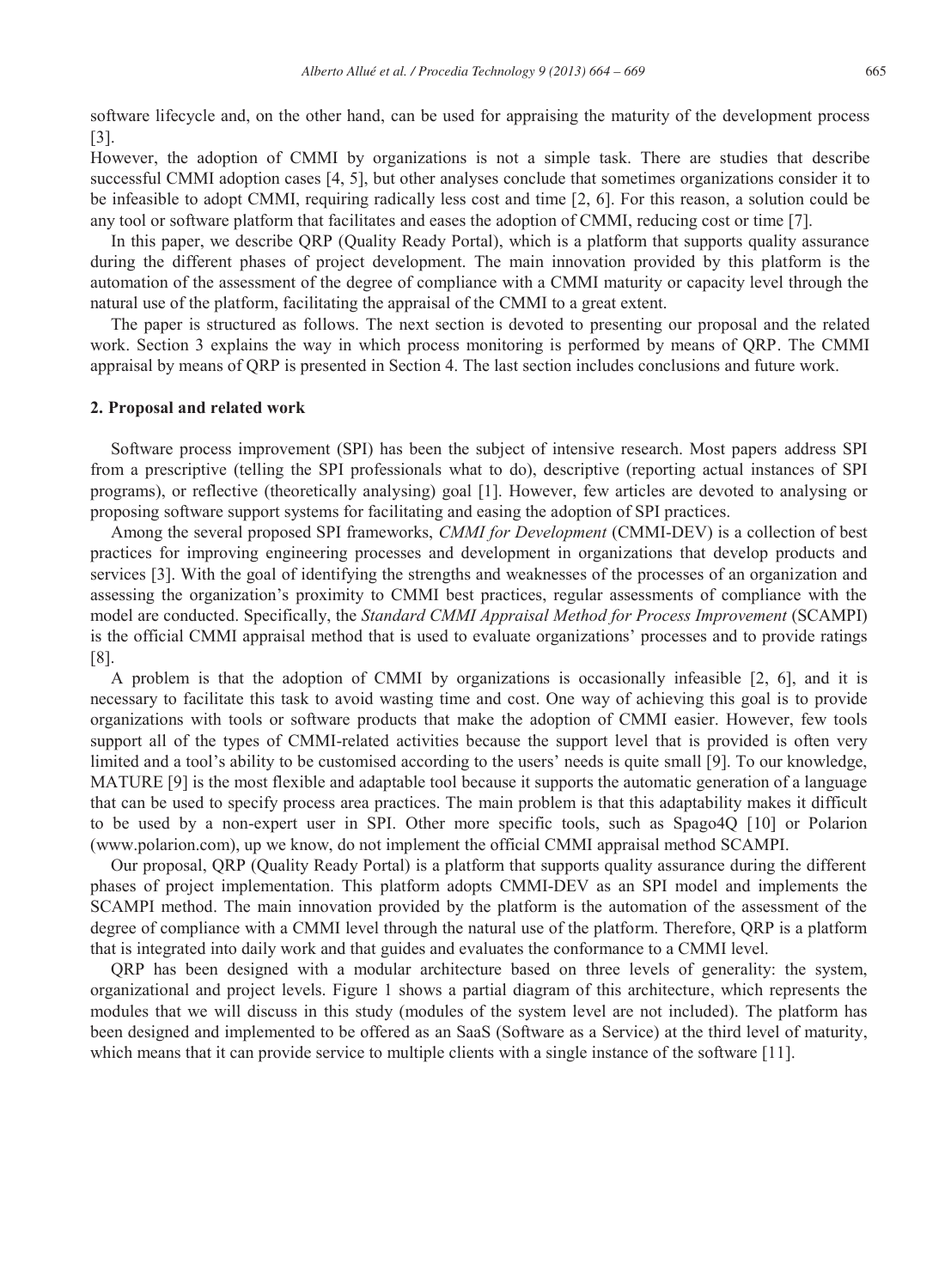software lifecycle and, on the other hand, can be used for appraising the maturity of the development process

However, the adoption of CMMI by organizations is not a simple task. There are studies that describe successful CMMI adoption cases [4, 5], but other analyses conclude that sometimes organizations consider it to be infeasible to adopt CMMI, requiring radically less cost and time [2, 6]. For this reason, a solution could be any tool or software platform that facilitates and eases the adoption of CMMI, reducing cost or time [7].

In this paper, we describe QRP (Quality Ready Portal), which is a platform that supports quality assurance during the different phases of project development. The main innovation provided by this platform is the automation of the assessment of the degree of compliance with a CMMI maturity or capacity level through the natural use of the platform, facilitating the appraisal of the CMMI to a great extent.

The paper is structured as follows. The next section is devoted to presenting our proposal and the related work. Section 3 explains the way in which process monitoring is performed by means of QRP. The CMMI appraisal by means of QRP is presented in Section 4. The last section includes conclusions and future work.

#### **2. Proposal and related work**

[3].

Software process improvement (SPI) has been the subject of intensive research. Most papers address SPI from a prescriptive (telling the SPI professionals what to do), descriptive (reporting actual instances of SPI programs), or reflective (theoretically analysing) goal [1]. However, few articles are devoted to analysing or proposing software support systems for facilitating and easing the adoption of SPI practices.

Among the several proposed SPI frameworks, *CMMI for Development* (CMMI-DEV) is a collection of best practices for improving engineering processes and development in organizations that develop products and services [3]. With the goal of identifying the strengths and weaknesses of the processes of an organization and assessing the organization's proximity to CMMI best practices, regular assessments of compliance with the model are conducted. Specifically, the *Standard CMMI Appraisal Method for Process Improvement* (SCAMPI) is the official CMMI appraisal method that is used to evaluate organizations' processes and to provide ratings [8].

A problem is that the adoption of CMMI by organizations is occasionally infeasible [2, 6], and it is necessary to facilitate this task to avoid wasting time and cost. One way of achieving this goal is to provide organizations with tools or software products that make the adoption of CMMI easier. However, few tools support all of the types of CMMI-related activities because the support level that is provided is often very limited and a tool's ability to be customised according to the users' needs is quite small [9]. To our knowledge, MATURE [9] is the most flexible and adaptable tool because it supports the automatic generation of a language that can be used to specify process area practices. The main problem is that this adaptability makes it difficult to be used by a non-expert user in SPI. Other more specific tools, such as Spago4Q [10] or Polarion (www.polarion.com), up we know, do not implement the official CMMI appraisal method SCAMPI.

Our proposal, QRP (Quality Ready Portal) is a platform that supports quality assurance during the different phases of project implementation. This platform adopts CMMI-DEV as an SPI model and implements the SCAMPI method. The main innovation provided by the platform is the automation of the assessment of the degree of compliance with a CMMI level through the natural use of the platform. Therefore, QRP is a platform that is integrated into daily work and that guides and evaluates the conformance to a CMMI level.

QRP has been designed with a modular architecture based on three levels of generality: the system, organizational and project levels. Figure 1 shows a partial diagram of this architecture, which represents the modules that we will discuss in this study (modules of the system level are not included). The platform has been designed and implemented to be offered as an SaaS (Software as a Service) at the third level of maturity, which means that it can provide service to multiple clients with a single instance of the software [11].